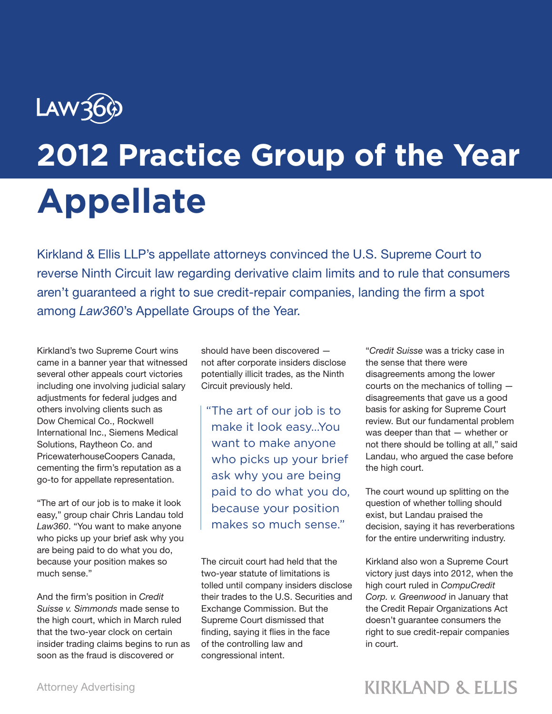## Law36 **2012 Practice Group of the Year Appellate**

Kirkland & Ellis LLP's appellate attorneys convinced the U.S. Supreme Court to reverse Ninth Circuit law regarding derivative claim limits and to rule that consumers aren't guaranteed a right to sue credit-repair companies, landing the firm a spot among *Law360*'s Appellate Groups of the Year.

Kirkland's two Supreme Court wins came in a banner year that witnessed several other appeals court victories including one involving judicial salary adjustments for federal judges and others involving clients such as Dow Chemical Co., Rockwell International Inc., Siemens Medical Solutions, Raytheon Co. and PricewaterhouseCoopers Canada, cementing the firm's reputation as a go-to for appellate representation.

"The art of our job is to make it look easy," group chair Chris Landau told *Law360*. "You want to make anyone who picks up your brief ask why you are being paid to do what you do, because your position makes so much sense."

And the firm's position in *Credit Suisse v. Simmonds* made sense to the high court, which in March ruled that the two-year clock on certain insider trading claims begins to run as soon as the fraud is discovered or

should have been discovered not after corporate insiders disclose potentially illicit trades, as the Ninth Circuit previously held.

"The art of our job is to make it look easy...You want to make anyone who picks up your brief ask why you are being paid to do what you do, because your position makes so much sense."

The circuit court had held that the two-year statute of limitations is tolled until company insiders disclose their trades to the U.S. Securities and Exchange Commission. But the Supreme Court dismissed that finding, saying it flies in the face of the controlling law and congressional intent.

"*Credit Suisse* was a tricky case in the sense that there were disagreements among the lower courts on the mechanics of tolling disagreements that gave us a good basis for asking for Supreme Court review. But our fundamental problem was deeper than that — whether or not there should be tolling at all," said Landau, who argued the case before the high court.

The court wound up splitting on the question of whether tolling should exist, but Landau praised the decision, saying it has reverberations for the entire underwriting industry.

Kirkland also won a Supreme Court victory just days into 2012, when the high court ruled in *CompuCredit Corp. v. Greenwood* in January that the Credit Repair Organizations Act doesn't guarantee consumers the right to sue credit-repair companies in court.